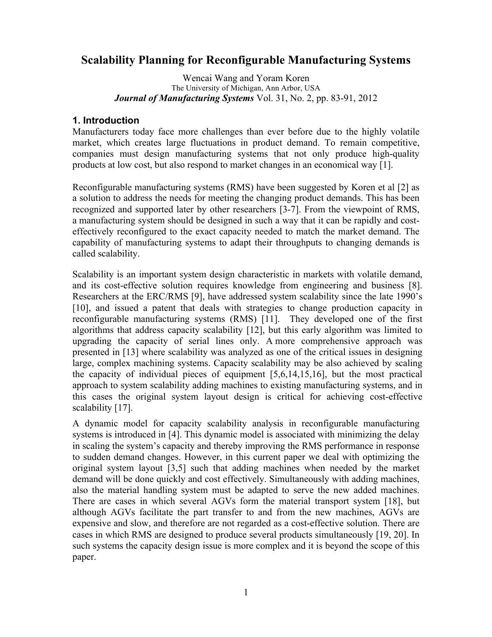# **Scalability Planning for Reconfigurable Manufacturing Systems**

Wencai Wang and Yoram Koren The University of Michigan, Ann Arbor, USA *Journal of Manufacturing Systems* Vol. 31, No. 2, pp. 83-91, 2012

## **1. Introduction**

Manufacturers today face more challenges than ever before due to the highly volatile market, which creates large fluctuations in product demand. To remain competitive, companies must design manufacturing systems that not only produce high-quality products at low cost, but also respond to market changes in an economical way [1].

Reconfigurable manufacturing systems (RMS) have been suggested by Koren et al [2] as a solution to address the needs for meeting the changing product demands. This has been recognized and supported later by other researchers [3-7]. From the viewpoint of RMS, a manufacturing system should be designed in such a way that it can be rapidly and costeffectively reconfigured to the exact capacity needed to match the market demand. The capability of manufacturing systems to adapt their throughputs to changing demands is called scalability.

Scalability is an important system design characteristic in markets with volatile demand, and its cost-effective solution requires knowledge from engineering and business [8]. Researchers at the ERC/RMS [9], have addressed system scalability since the late 1990's [10], and issued a patent that deals with strategies to change production capacity in reconfigurable manufacturing systems (RMS) [11]. They developed one of the first algorithms that address capacity scalability [12], but this early algorithm was limited to upgrading the capacity of serial lines only. A more comprehensive approach was presented in [13] where scalability was analyzed as one of the critical issues in designing large, complex machining systems. Capacity scalability may be also achieved by scaling the capacity of individual pieces of equipment [5,6,14,15,16], but the most practical approach to system scalability adding machines to existing manufacturing systems, and in this cases the original system layout design is critical for achieving cost-effective scalability [17].

A dynamic model for capacity scalability analysis in reconfigurable manufacturing systems is introduced in [4]. This dynamic model is associated with minimizing the delay in scaling the system's capacity and thereby improving the RMS performance in response to sudden demand changes. However, in this current paper we deal with optimizing the original system layout [3,5] such that adding machines when needed by the market demand will be done quickly and cost effectively. Simultaneously with adding machines, also the material handling system must be adapted to serve the new added machines. There are cases in which several AGVs form the material transport system [18], but although AGVs facilitate the part transfer to and from the new machines, AGVs are expensive and slow, and therefore are not regarded as a cost-effective solution. There are cases in which RMS are designed to produce several products simultaneously [19, 20]. In such systems the capacity design issue is more complex and it is beyond the scope of this paper.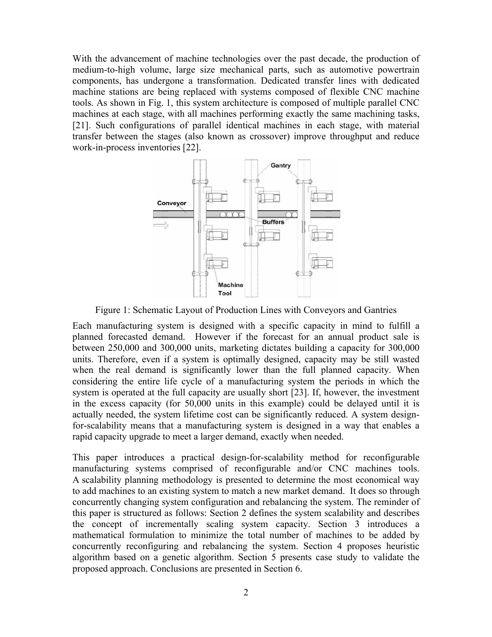With the advancement of machine technologies over the past decade, the production of medium-to-high volume, large size mechanical parts, such as automotive powertrain components, has undergone a transformation. Dedicated transfer lines with dedicated machine stations are being replaced with systems composed of flexible CNC machine tools. As shown in Fig. 1, this system architecture is composed of multiple parallel CNC machines at each stage, with all machines performing exactly the same machining tasks, [21]. Such configurations of parallel identical machines in each stage, with material transfer between the stages (also known as crossover) improve throughput and reduce work-in-process inventories [22].



Figure 1: Schematic Layout of Production Lines with Conveyors and Gantries

Each manufacturing system is designed with a specific capacity in mind to fulfill a planned forecasted demand. However if the forecast for an annual product sale is between 250,000 and 300,000 units, marketing dictates building a capacity for 300,000 units. Therefore, even if a system is optimally designed, capacity may be still wasted when the real demand is significantly lower than the full planned capacity. When considering the entire life cycle of a manufacturing system the periods in which the system is operated at the full capacity are usually short [23]. If, however, the investment in the excess capacity (for 50,000 units in this example) could be delayed until it is actually needed, the system lifetime cost can be significantly reduced. A system designfor-scalability means that a manufacturing system is designed in a way that enables a rapid capacity upgrade to meet a larger demand, exactly when needed.

This paper introduces a practical design-for-scalability method for reconfigurable manufacturing systems comprised of reconfigurable and/or CNC machines tools. A scalability planning methodology is presented to determine the most economical way to add machines to an existing system to match a new market demand. It does so through concurrently changing system configuration and rebalancing the system. The reminder of this paper is structured as follows: Section 2 defines the system scalability and describes the concept of incrementally scaling system capacity. Section 3 introduces a mathematical formulation to minimize the total number of machines to be added by concurrently reconfiguring and rebalancing the system. Section 4 proposes heuristic algorithm based on a genetic algorithm. Section 5 presents case study to validate the proposed approach. Conclusions are presented in Section 6.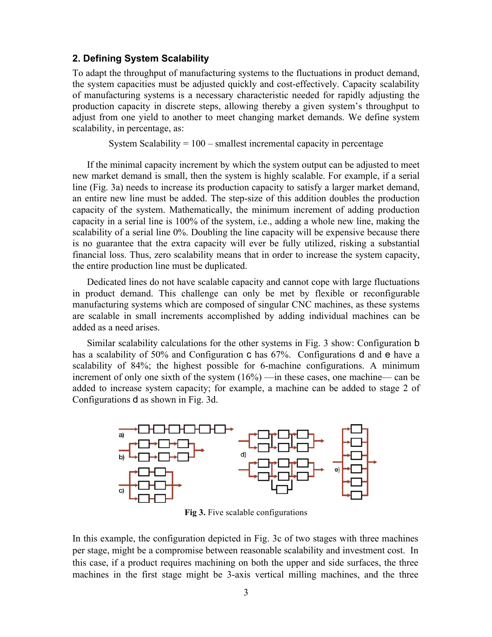#### **2. Defining System Scalability**

To adapt the throughput of manufacturing systems to the fluctuations in product demand, the system capacities must be adjusted quickly and cost-effectively. Capacity scalability of manufacturing systems is a necessary characteristic needed for rapidly adjusting the production capacity in discrete steps, allowing thereby a given system's throughput to adjust from one yield to another to meet changing market demands. We define system scalability, in percentage, as:

System Scalability  $= 100$  – smallest incremental capacity in percentage

If the minimal capacity increment by which the system output can be adjusted to meet new market demand is small, then the system is highly scalable. For example, if a serial line (Fig. 3a) needs to increase its production capacity to satisfy a larger market demand, an entire new line must be added. The step-size of this addition doubles the production capacity of the system. Mathematically, the minimum increment of adding production capacity in a serial line is 100% of the system, i.e., adding a whole new line, making the scalability of a serial line 0%. Doubling the line capacity will be expensive because there is no guarantee that the extra capacity will ever be fully utilized, risking a substantial financial loss. Thus, zero scalability means that in order to increase the system capacity, the entire production line must be duplicated.

Dedicated lines do not have scalable capacity and cannot cope with large fluctuations in product demand. This challenge can only be met by flexible or reconfigurable manufacturing systems which are composed of singular CNC machines, as these systems are scalable in small increments accomplished by adding individual machines can be added as a need arises.

Similar scalability calculations for the other systems in Fig. 3 show: Configuration b has a scalability of 50% and Configuration c has 67%. Configurations d and e have a scalability of 84%; the highest possible for 6-machine configurations. A minimum increment of only one sixth of the system (16%) —in these cases, one machine— can be added to increase system capacity; for example, a machine can be added to stage 2 of Configurations d as shown in Fig. 3d.



**Fig 3.** Five scalable configurations

In this example, the configuration depicted in Fig. 3c of two stages with three machines per stage, might be a compromise between reasonable scalability and investment cost. In this case, if a product requires machining on both the upper and side surfaces, the three machines in the first stage might be 3-axis vertical milling machines, and the three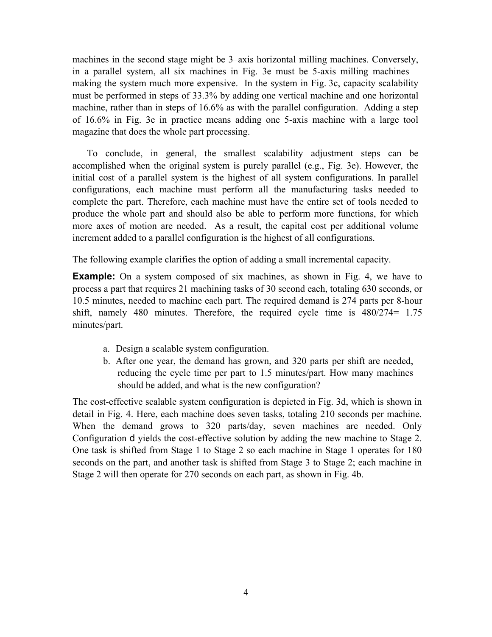machines in the second stage might be 3–axis horizontal milling machines. Conversely, in a parallel system, all six machines in Fig. 3e must be 5-axis milling machines – making the system much more expensive. In the system in Fig. 3c, capacity scalability must be performed in steps of 33.3% by adding one vertical machine and one horizontal machine, rather than in steps of 16.6% as with the parallel configuration. Adding a step of 16.6% in Fig. 3e in practice means adding one 5-axis machine with a large tool magazine that does the whole part processing.

To conclude, in general, the smallest scalability adjustment steps can be accomplished when the original system is purely parallel (e.g., Fig. 3e). However, the initial cost of a parallel system is the highest of all system configurations. In parallel configurations, each machine must perform all the manufacturing tasks needed to complete the part. Therefore, each machine must have the entire set of tools needed to produce the whole part and should also be able to perform more functions, for which more axes of motion are needed. As a result, the capital cost per additional volume increment added to a parallel configuration is the highest of all configurations.

The following example clarifies the option of adding a small incremental capacity.

**Example:** On a system composed of six machines, as shown in Fig. 4, we have to process a part that requires 21 machining tasks of 30 second each, totaling 630 seconds, or 10.5 minutes, needed to machine each part. The required demand is 274 parts per 8-hour shift, namely 480 minutes. Therefore, the required cycle time is 480/274= 1.75 minutes/part.

- a. Design a scalable system configuration.
- b. After one year, the demand has grown, and 320 parts per shift are needed, reducing the cycle time per part to 1.5 minutes/part. How many machines should be added, and what is the new configuration?

The cost-effective scalable system configuration is depicted in Fig. 3d, which is shown in detail in Fig. 4. Here, each machine does seven tasks, totaling 210 seconds per machine. When the demand grows to 320 parts/day, seven machines are needed. Only Configuration d yields the cost-effective solution by adding the new machine to Stage 2. One task is shifted from Stage 1 to Stage 2 so each machine in Stage 1 operates for 180 seconds on the part, and another task is shifted from Stage 3 to Stage 2; each machine in Stage 2 will then operate for 270 seconds on each part, as shown in Fig. 4b.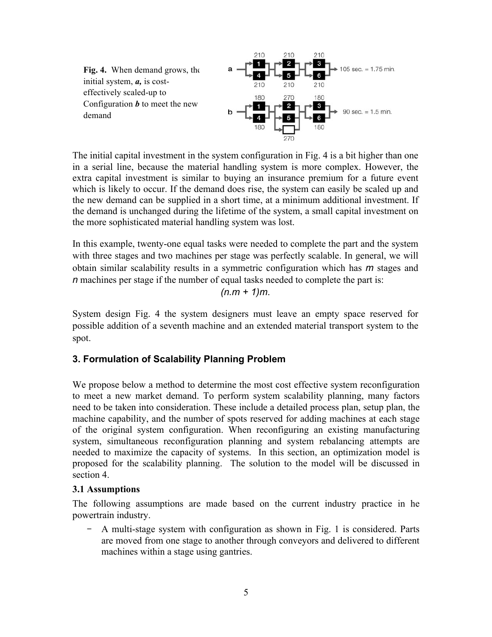

The initial capital investment in the system configuration in Fig. 4 is a bit higher than one in a serial line, because the material handling system is more complex. However, the extra capital investment is similar to buying an insurance premium for a future event which is likely to occur. If the demand does rise, the system can easily be scaled up and the new demand can be supplied in a short time, at a minimum additional investment. If the demand is unchanged during the lifetime of the system, a small capital investment on the more sophisticated material handling system was lost.

In this example, twenty-one equal tasks were needed to complete the part and the system with three stages and two machines per stage was perfectly scalable. In general, we will obtain similar scalability results in a symmetric configuration which has *m* stages and *n* machines per stage if the number of equal tasks needed to complete the part is:

*(n.m + 1)m*.

System design Fig. 4 the system designers must leave an empty space reserved for possible addition of a seventh machine and an extended material transport system to the spot.

### **3. Formulation of Scalability Planning Problem**

We propose below a method to determine the most cost effective system reconfiguration to meet a new market demand. To perform system scalability planning, many factors need to be taken into consideration. These include a detailed process plan, setup plan, the machine capability, and the number of spots reserved for adding machines at each stage of the original system configuration. When reconfiguring an existing manufacturing system, simultaneous reconfiguration planning and system rebalancing attempts are needed to maximize the capacity of systems. In this section, an optimization model is proposed for the scalability planning. The solution to the model will be discussed in section 4.

#### **3.1 Assumptions**

The following assumptions are made based on the current industry practice in he powertrain industry.

‒ A multi-stage system with configuration as shown in Fig. 1 is considered. Parts are moved from one stage to another through conveyors and delivered to different machines within a stage using gantries.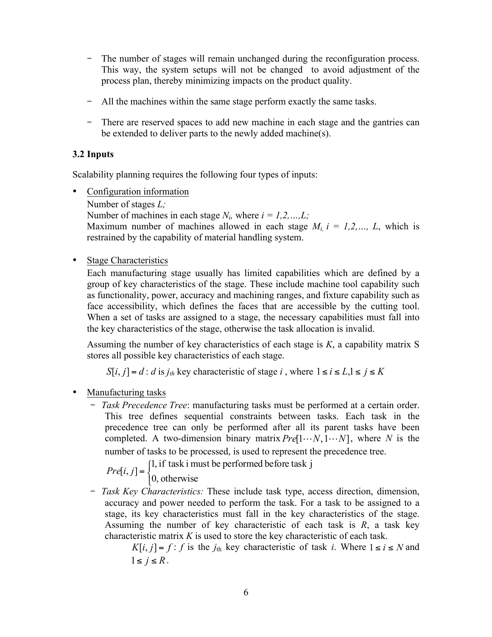- ‒ The number of stages will remain unchanged during the reconfiguration process. This way, the system setups will not be changed to avoid adjustment of the process plan, thereby minimizing impacts on the product quality.
- ‒ All the machines within the same stage perform exactly the same tasks.
- ‒ There are reserved spaces to add new machine in each stage and the gantries can be extended to deliver parts to the newly added machine(s).

## **3.2 Inputs**

Scalability planning requires the following four types of inputs:

• Configuration information

Number of stages *L;*

Number of machines in each stage  $N_i$ , where  $i = 1, 2, \dots, L$ ; Maximum number of machines allowed in each stage  $M_i$   $i = 1, 2, ..., L$ , which is

restrained by the capability of material handling system.

• Stage Characteristics

Each manufacturing stage usually has limited capabilities which are defined by a group of key characteristics of the stage. These include machine tool capability such as functionality, power, accuracy and machining ranges, and fixture capability such as face accessibility, which defines the faces that are accessible by the cutting tool. When a set of tasks are assigned to a stage, the necessary capabilities must fall into the key characteristics of the stage, otherwise the task allocation is invalid.

Assuming the number of key characteristics of each stage is *K*, a capability matrix S stores all possible key characteristics of each stage.

*S*[*i*, *j*] = *d* : *d* is *j<sub>th</sub>* key characteristic of stage *i*, where  $1 \le i \le L$ , $1 \le j \le K$ 

- Manufacturing tasks
	- ‒ *Task Precedence Tree*: manufacturing tasks must be performed at a certain order. This tree defines sequential constraints between tasks. Each task in the precedence tree can only be performed after all its parent tasks have been completed. A two-dimension binary matrix  $Pre[1 \cdots N, 1 \cdots N]$ , where *N* is the number of tasks to be processed, is used to represent the precedence tree.

$$
Pre[i, j] = \begin{cases} 1, \text{ if task i must be performed before task } j \\ 0, \text{ otherwise} \end{cases}
$$

‒ *Task Key Characteristics:* These include task type, access direction, dimension, accuracy and power needed to perform the task. For a task to be assigned to a stage, its key characteristics must fall in the key characteristics of the stage. Assuming the number of key characteristic of each task is  $R$ , a task key characteristic matrix *K* is used to store the key characteristic of each task.

 $K[i, j] = f : f$  is the *j*<sub>th</sub> key characteristic of task *i*. Where  $1 \le i \le N$  and  $1 \leq i \leq R$ .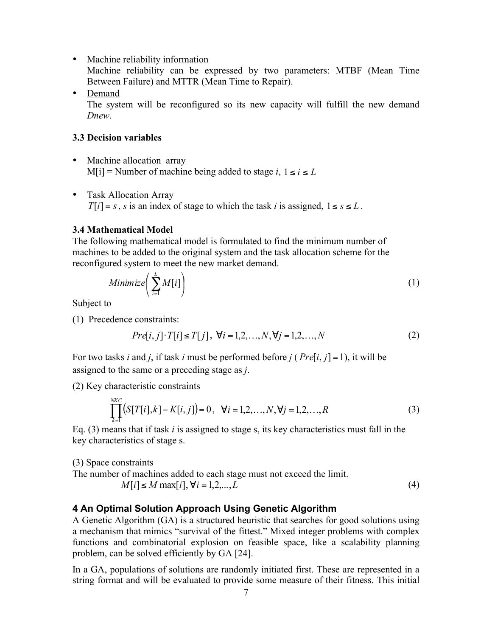• Machine reliability information

Machine reliability can be expressed by two parameters: MTBF (Mean Time Between Failure) and MTTR (Mean Time to Repair).

• Demand The system will be reconfigured so its new capacity will fulfill the new demand *Dnew*.

### **3.3 Decision variables**

- Machine allocation array M[i] = Number of machine being added to stage  $i, 1 \le i \le L$
- Task Allocation Array *T*[ $i$ ] = *s*, *s* is an index of stage to which the task *i* is assigned,  $1 \le s \le L$ .

## **3.4 Mathematical Model**

The following mathematical model is formulated to find the minimum number of machines to be added to the original system and the task allocation scheme for the reconfigured system to meet the new market demand.

Minimize 
$$
\left(\sum_{i=1}^{L} M[i]\right)
$$
 (1)

Subject to

(1) Precedence constraints:

$$
Pre[i, j] \cdot T[i] \le T[j], \ \forall i = 1, 2, ..., N, \forall j = 1, 2, ..., N
$$
 (2)

For two tasks *i* and *j*, if task *i* must be performed before *j* ( *Pre*[*i*, *j*] =1), it will be assigned to the same or a preceding stage as *j*.

(2) Key characteristic constraints

$$
\prod_{k=1}^{NKC} (S[T[i], k] - K[i, j]) = 0, \quad \forall i = 1, 2, ..., N, \forall j = 1, 2, ..., R
$$
\n(3)

Eq. (3) means that if task *i* is assigned to stage s, its key characteristics must fall in the key characteristics of stage s.

(3) Space constraints

The number of machines added to each stage must not exceed the limit.  $M[i] ≤ M \max[i], \forall i = 1, 2, ..., L$  (4)

## **4 An Optimal Solution Approach Using Genetic Algorithm**

A Genetic Algorithm (GA) is a structured heuristic that searches for good solutions using a mechanism that mimics "survival of the fittest." Mixed integer problems with complex functions and combinatorial explosion on feasible space, like a scalability planning problem, can be solved efficiently by GA [24].

In a GA, populations of solutions are randomly initiated first. These are represented in a string format and will be evaluated to provide some measure of their fitness. This initial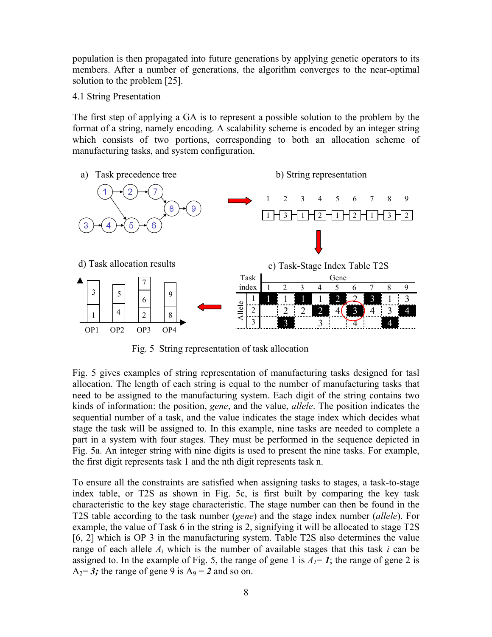population is then propagated into future generations by applying genetic operators to its members. After a number of generations, the algorithm converges to the near-optimal solution to the problem [25].

#### 4.1 String Presentation

The first step of applying a GA is to represent a possible solution to the problem by the format of a string, namely encoding. A scalability scheme is encoded by an integer string which consists of two portions, corresponding to both an allocation scheme of manufacturing tasks, and system configuration.



Fig. 5 String representation of task allocation

Fig. 5 gives examples of string representation of manufacturing tasks designed for tasl allocation. The length of each string is equal to the number of manufacturing tasks that need to be assigned to the manufacturing system. Each digit of the string contains two kinds of information: the position, *gene*, and the value, *allele*. The position indicates the sequential number of a task, and the value indicates the stage index which decides what stage the task will be assigned to. In this example, nine tasks are needed to complete a part in a system with four stages. They must be performed in the sequence depicted in Fig. 5a. An integer string with nine digits is used to present the nine tasks. For example, the first digit represents task 1 and the nth digit represents task n.

To ensure all the constraints are satisfied when assigning tasks to stages, a task-to-stage index table, or T2S as shown in Fig. 5c, is first built by comparing the key task characteristic to the key stage characteristic. The stage number can then be found in the T2S table according to the task number (*gene*) and the stage index number (*allele*). For example, the value of Task 6 in the string is 2, signifying it will be allocated to stage T2S [6, 2] which is OP 3 in the manufacturing system. Table T2S also determines the value range of each allele *Ai* which is the number of available stages that this task *i* can be assigned to. In the example of Fig. 5, the range of gene 1 is  $A_1 = 1$ ; the range of gene 2 is  $A_2 = 3$ ; the range of gene 9 is  $A_9 = 2$  and so on.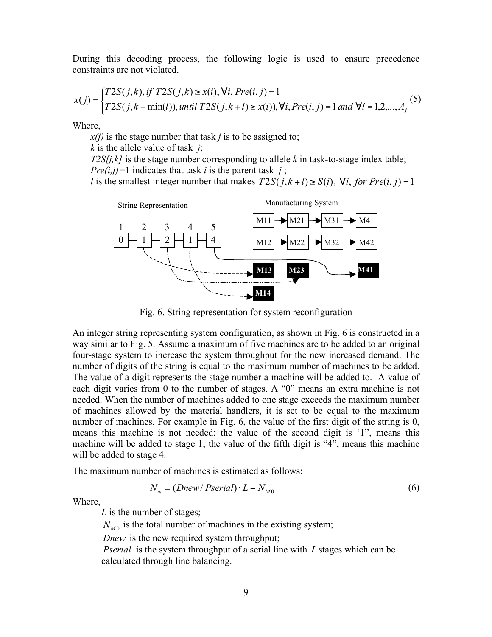During this decoding process, the following logic is used to ensure precedence constraints are not violated.

$$
x(j) = \begin{cases} T2S(j,k), \text{ if } T2S(j,k) \ge x(i), \forall i, Pre(i,j) = 1\\ T2S(j,k + \min(l)), \text{ until } T2S(j,k+l) \ge x(i)), \forall i, Pre(i,j) = 1 \text{ and } \forall l = 1,2,...,A_j \end{cases}
$$
(5)

Where,

 $x(j)$  is the stage number that task *j* is to be assigned to;

*k* is the allele value of task *j*;

*T2S[j,k]* is the stage number corresponding to allele *k* in task-to-stage index table; *Pre(i,j)*=1 indicates that task *i* is the parent task *j*;

*l* is the smallest integer number that makes  $T2S(j, k+l) \ge S(i)$ ,  $\forall i$ , for  $Pre(i, j) = 1$ 



Fig. 6. String representation for system reconfiguration

An integer string representing system configuration, as shown in Fig. 6 is constructed in a way similar to Fig. 5. Assume a maximum of five machines are to be added to an original four-stage system to increase the system throughput for the new increased demand. The number of digits of the string is equal to the maximum number of machines to be added. The value of a digit represents the stage number a machine will be added to. A value of each digit varies from 0 to the number of stages. A "0" means an extra machine is not needed. When the number of machines added to one stage exceeds the maximum number of machines allowed by the material handlers, it is set to be equal to the maximum number of machines. For example in Fig. 6, the value of the first digit of the string is 0, means this machine is not needed; the value of the second digit is '1", means this machine will be added to stage 1; the value of the fifth digit is "4", means this machine will be added to stage 4.

The maximum number of machines is estimated as follows:

$$
N_m = (Dnew / \text{Pserial}) \cdot L - N_{M0} \tag{6}
$$

Where,

*L* is the number of stages;

 $N_{M0}$  is the total number of machines in the existing system;

*Dnew* is the new required system throughput;

*Pserial* is the system throughput of a serial line with *L* stages which can be calculated through line balancing.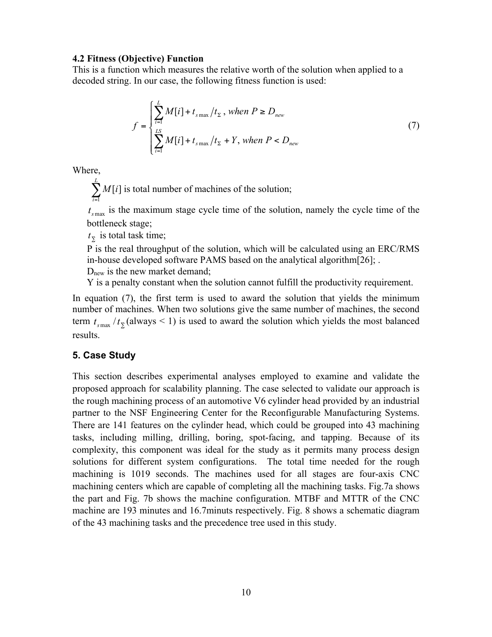## **4.2 Fitness (Objective) Function**

This is a function which measures the relative worth of the solution when applied to a decoded string. In our case, the following fitness function is used:

$$
f = \begin{cases} \sum_{i=1}^{L} M[i] + t_{s\max}/t_{\Sigma}, \text{ when } P \ge D_{new} \\ \sum_{i=1}^{LS} M[i] + t_{s\max}/t_{\Sigma} + Y, \text{ when } P < D_{new} \end{cases} \tag{7}
$$

Where,

 $\sum_{i=1}$ *L i* 1  $M[i]$  is total number of machines of the solution;

 $t_{\text{smax}}$  is the maximum stage cycle time of the solution, namely the cycle time of the bottleneck stage;

 $t<sub>y</sub>$  is total task time;

P is the real throughput of the solution, which will be calculated using an ERC/RMS in-house developed software PAMS based on the analytical algorithm[26]; .

D<sub>new</sub> is the new market demand;

Y is a penalty constant when the solution cannot fulfill the productivity requirement.

In equation (7), the first term is used to award the solution that yields the minimum number of machines. When two solutions give the same number of machines, the second term  $t_{\rm smax}/t_{\rm \Sigma}$  (always < 1) is used to award the solution which yields the most balanced results.

# **5. Case Study**

This section describes experimental analyses employed to examine and validate the proposed approach for scalability planning. The case selected to validate our approach is the rough machining process of an automotive V6 cylinder head provided by an industrial partner to the NSF Engineering Center for the Reconfigurable Manufacturing Systems. There are 141 features on the cylinder head, which could be grouped into 43 machining tasks, including milling, drilling, boring, spot-facing, and tapping. Because of its complexity, this component was ideal for the study as it permits many process design solutions for different system configurations. The total time needed for the rough machining is 1019 seconds. The machines used for all stages are four-axis CNC machining centers which are capable of completing all the machining tasks. Fig.7a shows the part and Fig. 7b shows the machine configuration. MTBF and MTTR of the CNC machine are 193 minutes and 16.7minuts respectively. Fig. 8 shows a schematic diagram of the 43 machining tasks and the precedence tree used in this study.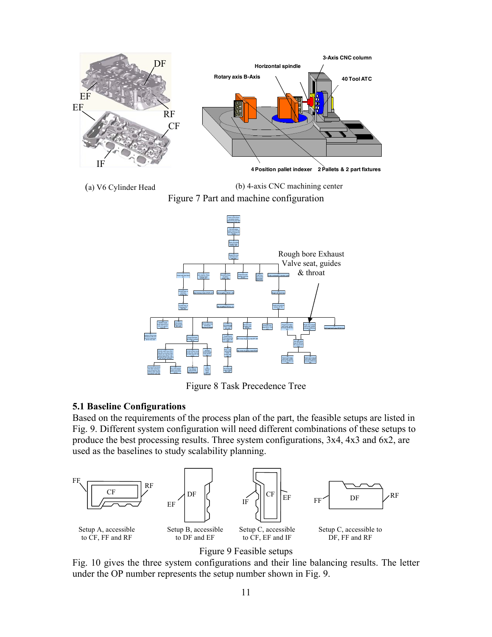

Figure 7 Part and machine configuration (a) V6 Cylinder Head (b) 4-axis CNC machining center



Figure 8 Task Precedence Tree

#### **5.1 Baseline Configurations**

Based on the requirements of the process plan of the part, the feasible setups are listed in Fig. 9. Different system configuration will need different combinations of these setups to produce the best processing results. Three system configurations, 3x4, 4x3 and 6x2, are used as the baselines to study scalability planning.



Figure 9 Feasible setups

Fig. 10 gives the three system configurations and their line balancing results. The letter under the OP number represents the setup number shown in Fig. 9.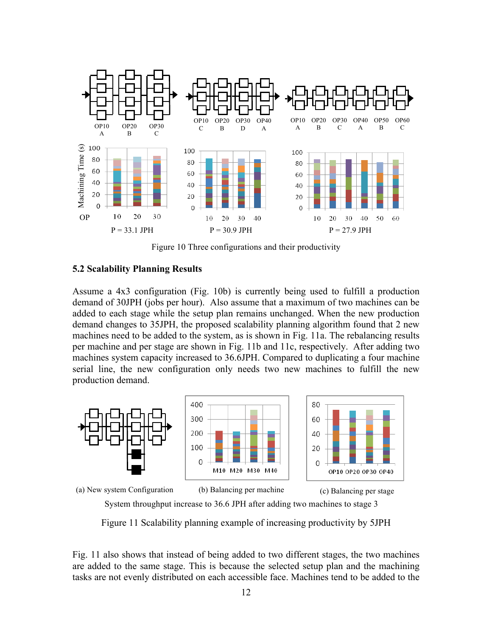

Figure 10 Three configurations and their productivity

#### **5.2 Scalability Planning Results**

Assume a 4x3 configuration (Fig. 10b) is currently being used to fulfill a production demand of 30JPH (jobs per hour). Also assume that a maximum of two machines can be added to each stage while the setup plan remains unchanged. When the new production demand changes to 35JPH, the proposed scalability planning algorithm found that 2 new machines need to be added to the system, as is shown in Fig. 11a. The rebalancing results per machine and per stage are shown in Fig. 11b and 11c, respectively. After adding two machines system capacity increased to 36.6JPH. Compared to duplicating a four machine serial line, the new configuration only needs two new machines to fulfill the new production demand.



System throughput increase to 36.6 JPH after adding two machines to stage 3

Figure 11 Scalability planning example of increasing productivity by 5JPH

Fig. 11 also shows that instead of being added to two different stages, the two machines are added to the same stage. This is because the selected setup plan and the machining tasks are not evenly distributed on each accessible face. Machines tend to be added to the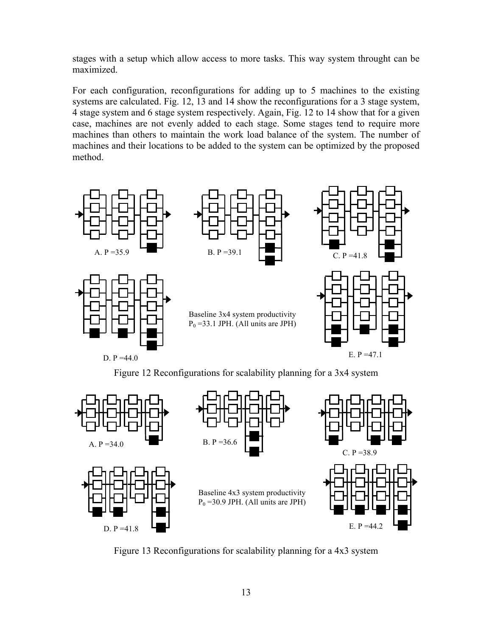stages with a setup which allow access to more tasks. This way system throught can be maximized.

For each configuration, reconfigurations for adding up to 5 machines to the existing systems are calculated. Fig. 12, 13 and 14 show the reconfigurations for a 3 stage system, 4 stage system and 6 stage system respectively. Again, Fig. 12 to 14 show that for a given case, machines are not evenly added to each stage. Some stages tend to require more machines than others to maintain the work load balance of the system. The number of machines and their locations to be added to the system can be optimized by the proposed method.



Figure 12 Reconfigurations for scalability planning for a 3x4 system



Figure 13 Reconfigurations for scalability planning for a 4x3 system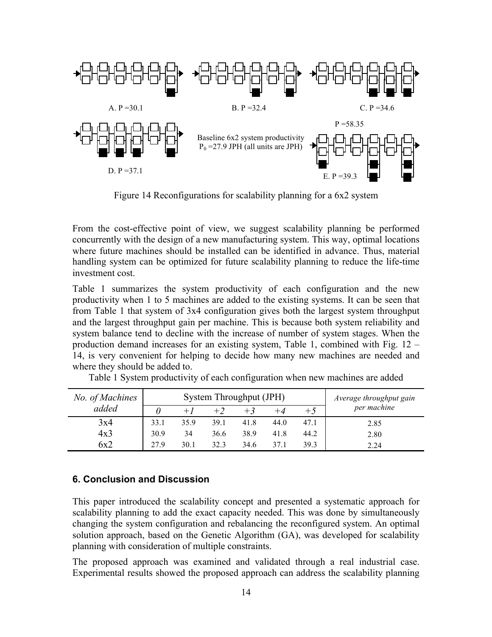

Figure 14 Reconfigurations for scalability planning for a 6x2 system

From the cost-effective point of view, we suggest scalability planning be performed concurrently with the design of a new manufacturing system. This way, optimal locations where future machines should be installed can be identified in advance. Thus, material handling system can be optimized for future scalability planning to reduce the life-time investment cost.

Table 1 summarizes the system productivity of each configuration and the new productivity when 1 to 5 machines are added to the existing systems. It can be seen that from Table 1 that system of 3x4 configuration gives both the largest system throughput and the largest throughput gain per machine. This is because both system reliability and system balance tend to decline with the increase of number of system stages. When the production demand increases for an existing system, Table 1, combined with Fig. 12 – 14, is very convenient for helping to decide how many new machines are needed and where they should be added to.

| No. of Machines | System Throughput (JPH) |      |      |      |      |      | Average throughput gain |
|-----------------|-------------------------|------|------|------|------|------|-------------------------|
| added           |                         | $+I$ | $+2$ |      | $+A$ | $+5$ | per machine             |
| 3x4             | 33.1                    | 35.9 | 39.1 | 41.8 | 44.0 | 47.1 | 2.85                    |
| 4x3             | 30.9                    | 34   | 36.6 | 38.9 | 41.8 | 44.2 | 2.80                    |
| 6x2             | 27.9                    | 30.1 | 32.3 | 34.6 |      | 39.3 | 2.24                    |

Table 1 System productivity of each configuration when new machines are added

### **6. Conclusion and Discussion**

This paper introduced the scalability concept and presented a systematic approach for scalability planning to add the exact capacity needed. This was done by simultaneously changing the system configuration and rebalancing the reconfigured system. An optimal solution approach, based on the Genetic Algorithm (GA), was developed for scalability planning with consideration of multiple constraints.

The proposed approach was examined and validated through a real industrial case. Experimental results showed the proposed approach can address the scalability planning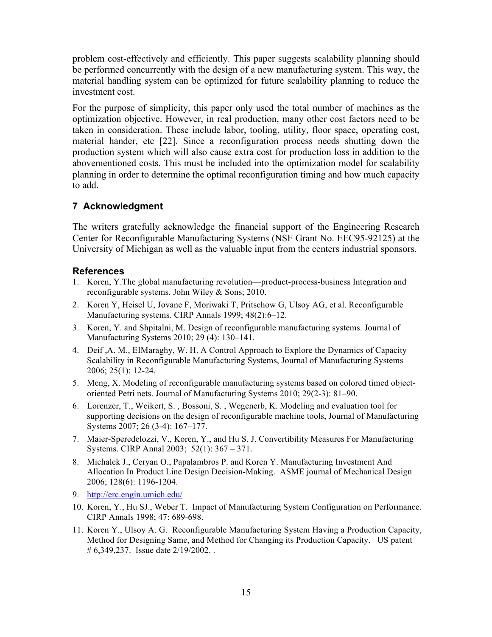problem cost-effectively and efficiently. This paper suggests scalability planning should be performed concurrently with the design of a new manufacturing system. This way, the material handling system can be optimized for future scalability planning to reduce the investment cost.

For the purpose of simplicity, this paper only used the total number of machines as the optimization objective. However, in real production, many other cost factors need to be taken in consideration. These include labor, tooling, utility, floor space, operating cost, material hander, etc [22]. Since a reconfiguration process needs shutting down the production system which will also cause extra cost for production loss in addition to the abovementioned costs. This must be included into the optimization model for scalability planning in order to determine the optimal reconfiguration timing and how much capacity to add.

## **7 Acknowledgment**

The writers gratefully acknowledge the financial support of the Engineering Research Center for Reconfigurable Manufacturing Systems (NSF Grant No. EEC95-92125) at the University of Michigan as well as the valuable input from the centers industrial sponsors.

## **References**

- 1. Koren, Y.The global manufacturing revolution—product-process-business Integration and reconfigurable systems. John Wiley & Sons; 2010.
- 2. Koren Y, Heisel U, Jovane F, Moriwaki T, Pritschow G, Ulsoy AG, et al. Reconfigurable Manufacturing systems. CIRP Annals 1999; 48(2):6–12.
- 3. Koren, Y. and Shpitalni, M. Design of reconfigurable manufacturing systems. Journal of Manufacturing Systems 2010; 29 (4): 130–141.
- 4. Deif ,A. M., EIMaraghy, W. H. A Control Approach to Explore the Dynamics of Capacity Scalability in Reconfigurable Manufacturing Systems, Journal of Manufacturing Systems 2006; 25(1): 12-24.
- 5. Meng, X. Modeling of reconfigurable manufacturing systems based on colored timed objectoriented Petri nets. Journal of Manufacturing Systems 2010; 29(2-3): 81–90.
- 6. Lorenzer, T., Weikert, S. , Bossoni, S. , Wegenerb, K. Modeling and evaluation tool for supporting decisions on the design of reconfigurable machine tools, Journal of Manufacturing Systems 2007; 26 (3-4): 167–177.
- 7. Maier-Speredelozzi, V., Koren, Y., and Hu S. J. Convertibility Measures For Manufacturing Systems. CIRP Annal 2003; 52(1): 367 – 371.
- 8. Michalek J., Ceryan O., Papalambros P. and Koren Y. Manufacturing Investment And Allocation In Product Line Design Decision-Making. ASME journal of Mechanical Design 2006; 128(6): 1196-1204.
- 9. http://erc.engin.umich.edu/
- 10. Koren, Y., Hu SJ., Weber T. Impact of Manufacturing System Configuration on Performance. CIRP Annals 1998; 47: 689-698.
- 11. Koren Y., Ulsoy A. G. Reconfigurable Manufacturing System Having a Production Capacity, Method for Designing Same, and Method for Changing its Production Capacity. US patent # 6,349,237. Issue date 2/19/2002. .